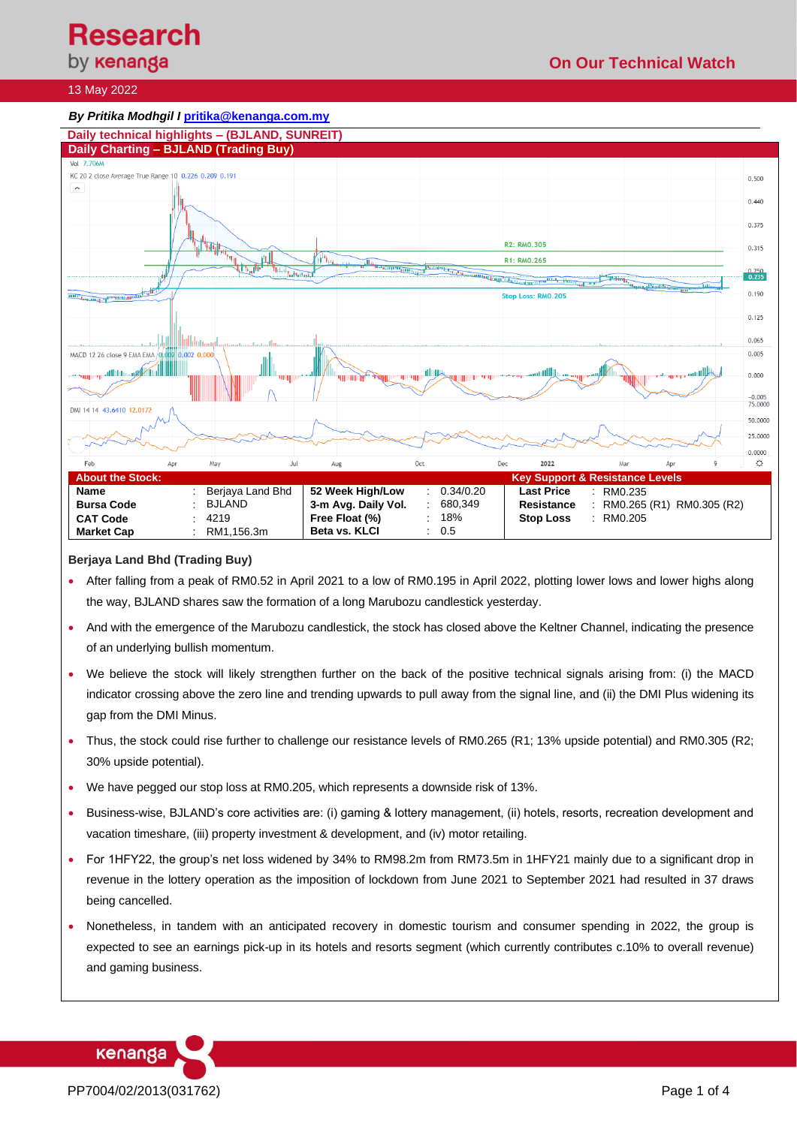by **kenanga** 

## 13 May 2022



## **Berjaya Land Bhd (Trading Buy)**

- After falling from a peak of RM0.52 in April 2021 to a low of RM0.195 in April 2022, plotting lower lows and lower highs along the way, BJLAND shares saw the formation of a long Marubozu candlestick yesterday.
- And with the emergence of the Marubozu candlestick, the stock has closed above the Keltner Channel, indicating the presence of an underlying bullish momentum.
- We believe the stock will likely strengthen further on the back of the positive technical signals arising from: (i) the MACD indicator crossing above the zero line and trending upwards to pull away from the signal line, and (ii) the DMI Plus widening its gap from the DMI Minus.
- Thus, the stock could rise further to challenge our resistance levels of RM0.265 (R1; 13% upside potential) and RM0.305 (R2; 30% upside potential).
- We have pegged our stop loss at RM0.205, which represents a downside risk of 13%.
- Business-wise, BJLAND's core activities are: (i) gaming & lottery management, (ii) hotels, resorts, recreation development and vacation timeshare, (iii) property investment & development, and (iv) motor retailing.
- For 1HFY22, the group's net loss widened by 34% to RM98.2m from RM73.5m in 1HFY21 mainly due to a significant drop in revenue in the lottery operation as the imposition of lockdown from June 2021 to September 2021 had resulted in 37 draws being cancelled.
- Nonetheless, in tandem with an anticipated recovery in domestic tourism and consumer spending in 2022, the group is expected to see an earnings pick-up in its hotels and resorts segment (which currently contributes c.10% to overall revenue) and gaming business.



kenanga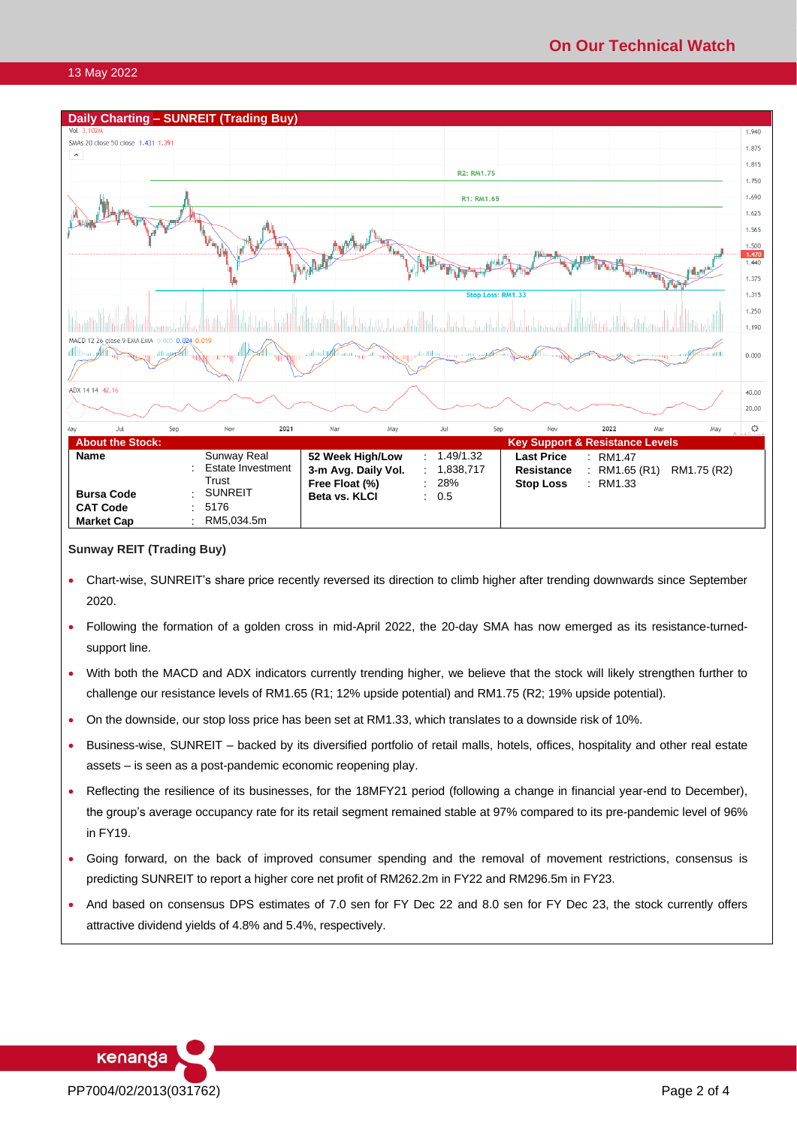#### 13 May 2022



## **Sunway REIT (Trading Buy)**

- Chart-wise, SUNREIT's share price recently reversed its direction to climb higher after trending downwards since September 2020.
- Following the formation of a golden cross in mid-April 2022, the 20-day SMA has now emerged as its resistance-turnedsupport line.
- With both the MACD and ADX indicators currently trending higher, we believe that the stock will likely strengthen further to challenge our resistance levels of RM1.65 (R1; 12% upside potential) and RM1.75 (R2; 19% upside potential).
- On the downside, our stop loss price has been set at RM1.33, which translates to a downside risk of 10%.
- Business-wise, SUNREIT backed by its diversified portfolio of retail malls, hotels, offices, hospitality and other real estate assets – is seen as a post-pandemic economic reopening play.
- Reflecting the resilience of its businesses, for the 18MFY21 period (following a change in financial year-end to December), the group's average occupancy rate for its retail segment remained stable at 97% compared to its pre-pandemic level of 96% in FY19.
- Going forward, on the back of improved consumer spending and the removal of movement restrictions, consensus is predicting SUNREIT to report a higher core net profit of RM262.2m in FY22 and RM296.5m in FY23.
- And based on consensus DPS estimates of 7.0 sen for FY Dec 22 and 8.0 sen for FY Dec 23, the stock currently offers attractive dividend yields of 4.8% and 5.4%, respectively.

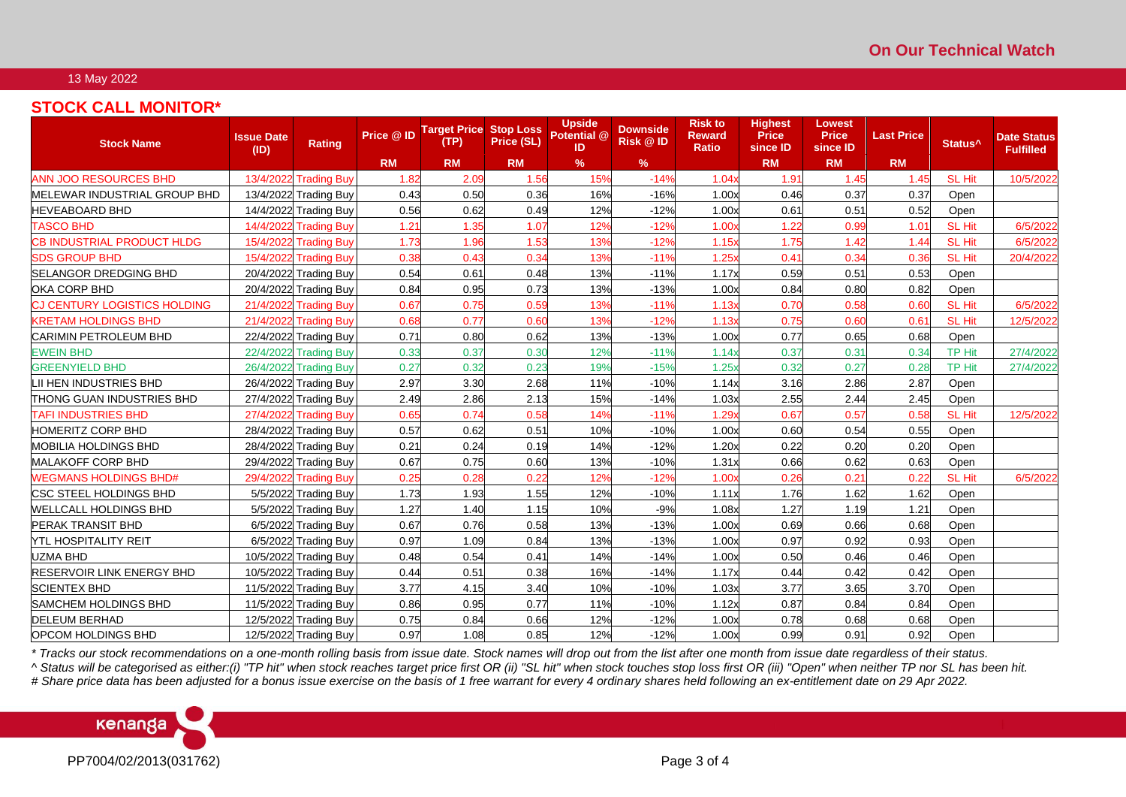#### 13 May 2022

# **STOCK CALL MONITOR\***

| <b>Stock Name</b>                   | Issue Date<br>(ID) | Rating                | Price @ ID | <b>Target Price Stop Loss</b><br>(TP) | Price (SL) | <b>Upside</b><br>Potential @<br>ID | <b>Downside</b><br><b>Risk @ ID</b> | <b>Risk to</b><br><b>Reward</b><br><b>Ratio</b> | <b>Highest</b><br><b>Price</b><br>since ID | <b>Lowest</b><br><b>Price</b><br>since ID | <b>Last Price</b> | Status <sup>^</sup> | <b>Date Status</b><br><b>Fulfilled</b> |
|-------------------------------------|--------------------|-----------------------|------------|---------------------------------------|------------|------------------------------------|-------------------------------------|-------------------------------------------------|--------------------------------------------|-------------------------------------------|-------------------|---------------------|----------------------------------------|
|                                     |                    |                       | <b>RM</b>  | <b>RM</b>                             | <b>RM</b>  | %                                  | %                                   |                                                 | <b>RM</b>                                  | <b>RM</b>                                 | <b>RM</b>         |                     |                                        |
| <b>ANN JOO RESOURCES BHD</b>        | 13/4/2022          | <b>Trading Buy</b>    | 1.82       | 2.09                                  | 1.56       | 15%                                | $-14%$                              | 1.04x                                           | 1.91                                       | 1.45                                      | 1.45              | <b>SL Hit</b>       | 10/5/2022                              |
| MELEWAR INDUSTRIAL GROUP BHD        |                    | 13/4/2022 Trading Buy | 0.43       | 0.50                                  | 0.36       | 16%                                | $-16%$                              | 1.00x                                           | 0.46                                       | 0.37                                      | 0.37              | Open                |                                        |
| <b>HEVEABOARD BHD</b>               |                    | 14/4/2022 Trading Buy | 0.56       | 0.62                                  | 0.49       | 12%                                | $-12%$                              | 1.00x                                           | 0.61                                       | 0.51                                      | 0.52              | Open                |                                        |
| <b>TASCO BHD</b>                    | 14/4/2022          | <b>Trading Buy</b>    | 1.21       | 1.35                                  | 1.07       | 12%                                | $-12%$                              | 1.00x                                           | 1.22                                       | 0.99                                      | 1.01              | <b>SL Hit</b>       | 6/5/2022                               |
| <b>CB INDUSTRIAL PRODUCT HLDG</b>   | 15/4/2022          | <b>Trading Buy</b>    | 1.73       | 1.96                                  | 1.53       | 13%                                | $-12%$                              | 1.15x                                           | 1.75                                       | 1.42                                      | 1.44              | <b>SL Hit</b>       | 6/5/2022                               |
| <b>SDS GROUP BHD</b>                | 15/4/2022          | <b>Trading Buy</b>    | 0.38       | 0.43                                  | 0.34       | 13%                                | $-11%$                              | 1.25x                                           | 0.41                                       | 0.34                                      | 0.36              | <b>SL Hit</b>       | 20/4/2022                              |
| SELANGOR DREDGING BHD               |                    | 20/4/2022 Trading Buy | 0.54       | 0.61                                  | 0.48       | 13%                                | $-11%$                              | 1.17x                                           | 0.59                                       | 0.51                                      | 0.53              | Open                |                                        |
| <b>OKA CORP BHD</b>                 |                    | 20/4/2022 Trading Buy | 0.84       | 0.95                                  | 0.73       | 13%                                | $-13%$                              | 1.00x                                           | 0.84                                       | 0.80                                      | 0.82              | Open                |                                        |
| <b>CJ CENTURY LOGISTICS HOLDING</b> | 21/4/2022          | <b>Trading Buy</b>    | 0.67       | 0.75                                  | 0.59       | 13%                                | $-11%$                              | 1.13x                                           | 0.70                                       | 0.58                                      | 0.60              | SL Hit              | 6/5/2022                               |
| <b>KRETAM HOLDINGS BHD</b>          | 21/4/2022          | <b>Trading Buy</b>    | 0.68       | 0.77                                  | 0.60       | 13%                                | $-12%$                              | 1.13x                                           | 0.75                                       | 0.60                                      | 0.61              | <b>SL Hit</b>       | 12/5/2022                              |
| <b>CARIMIN PETROLEUM BHD</b>        | 22/4/2022          | <b>Trading Buy</b>    | 0.71       | 0.80                                  | 0.62       | 13%                                | $-13%$                              | 1.00x                                           | 0.77                                       | 0.65                                      | 0.68              | Open                |                                        |
| <b>EWEIN BHD</b>                    | 22/4/2022          | <b>Trading Buy</b>    | 0.33       | 0.37                                  | 0.30       | 12%                                | $-11%$                              | 1.14x                                           | 0.37                                       | $0.3^{\circ}$                             | 0.34              | <b>TP Hit</b>       | 27/4/2022                              |
| <b>GREENYIELD BHD</b>               | 26/4/2022          | <b>Trading Buy</b>    | 0.27       | 0.32                                  | 0.23       | 19%                                | $-15%$                              | 1.25x                                           | 0.32                                       | 0.27                                      | 0.28              | <b>TP Hit</b>       | 27/4/2022                              |
| LII HEN INDUSTRIES BHD              | 26/4/2022          | <b>Trading Buy</b>    | 2.97       | 3.30                                  | 2.68       | 11%                                | $-10%$                              | 1.14x                                           | 3.16                                       | 2.86                                      | 2.87              | Open                |                                        |
| THONG GUAN INDUSTRIES BHD           | 27/4/2022          | <b>Trading Buy</b>    | 2.49       | 2.86                                  | 2.13       | 15%                                | $-14%$                              | 1.03x                                           | 2.55                                       | 2.44                                      | 2.45              | Open                |                                        |
| <b>TAFI INDUSTRIES BHD</b>          | 27/4/2022          | <b>Trading Buy</b>    | 0.65       | 0.74                                  | 0.58       | 14%                                | $-11%$                              | 1.29x                                           | 0.67                                       | 0.57                                      | 0.58              | <b>SL Hit</b>       | 12/5/2022                              |
| <b>HOMERITZ CORP BHD</b>            |                    | 28/4/2022 Trading Buy | 0.57       | 0.62                                  | 0.51       | 10%                                | $-10%$                              | 1.00x                                           | 0.60                                       | 0.54                                      | 0.55              | Open                |                                        |
| <b>MOBILIA HOLDINGS BHD</b>         |                    | 28/4/2022 Trading Buy | 0.21       | 0.24                                  | 0.19       | 14%                                | $-12%$                              | 1.20x                                           | 0.22                                       | 0.20                                      | 0.20              | Open                |                                        |
| <b>MALAKOFF CORP BHD</b>            |                    | 29/4/2022 Trading Buy | 0.67       | 0.75                                  | 0.60       | 13%                                | $-10%$                              | 1.31x                                           | 0.66                                       | 0.62                                      | 0.63              | Open                |                                        |
| <b>WEGMANS HOLDINGS BHD#</b>        | 29/4/2022          | <b>Trading Buy</b>    | 0.25       | 0.28                                  | 0.22       | 12%                                | $-12%$                              | 1.00x                                           | 0.26                                       | $0.2^{\circ}$                             | 0.21              | <b>SL Hit</b>       | 6/5/2022                               |
| CSC STEEL HOLDINGS BHD              |                    | 5/5/2022 Trading Buy  | 1.73       | 1.93                                  | 1.55       | 12%                                | $-10%$                              | 1.11x                                           | 1.76                                       | 1.62                                      | 1.62              | Open                |                                        |
| WELLCALL HOLDINGS BHD               |                    | 5/5/2022 Trading Buy  | 1.27       | 1.40                                  | 1.15       | 10%                                | $-9%$                               | 1.08x                                           | 1.27                                       | 1.19                                      | 1.21              | Open                |                                        |
| PERAK TRANSIT BHD                   | 6/5/2022           | <b>Trading Buy</b>    | 0.67       | 0.76                                  | 0.58       | 13%                                | $-13%$                              | 1.00x                                           | 0.69                                       | 0.66                                      | 0.68              | Open                |                                        |
| YTL HOSPITALITY REIT                |                    | 6/5/2022 Trading Buy  | 0.97       | 1.09                                  | 0.84       | 13%                                | $-13%$                              | 1.00x                                           | 0.97                                       | 0.92                                      | 0.93              | Open                |                                        |
| <b>UZMA BHD</b>                     |                    | 10/5/2022 Trading Buy | 0.48       | 0.54                                  | 0.41       | 14%                                | $-14%$                              | 1.00x                                           | 0.50                                       | 0.46                                      | 0.46              | Open                |                                        |
| <b>RESERVOIR LINK ENERGY BHD</b>    |                    | 10/5/2022 Trading Buy | 0.44       | 0.51                                  | 0.38       | 16%                                | $-14%$                              | 1.17x                                           | 0.44                                       | 0.42                                      | 0.42              | Open                |                                        |
| <b>SCIENTEX BHD</b>                 |                    | 11/5/2022 Trading Buy | 3.77       | 4.15                                  | 3.40       | 10%                                | $-10%$                              | 1.03x                                           | 3.77                                       | 3.65                                      | 3.70              | Open                |                                        |
| <b>SAMCHEM HOLDINGS BHD</b>         |                    | 11/5/2022 Trading Buy | 0.86       | 0.95                                  | 0.77       | 11%                                | $-10%$                              | 1.12x                                           | 0.87                                       | 0.84                                      | 0.84              | Open                |                                        |
| <b>DELEUM BERHAD</b>                |                    | 12/5/2022 Trading Buy | 0.75       | 0.84                                  | 0.66       | 12%                                | $-12%$                              | 1.00x                                           | 0.78                                       | 0.68                                      | 0.68              | Open                |                                        |
| OPCOM HOLDINGS BHD                  |                    | 12/5/2022 Trading Buy | 0.97       | 1.08                                  | 0.85       | 12%                                | $-12%$                              | 1.00x                                           | 0.99                                       | 0.91                                      | 0.92              | Open                |                                        |

*\* Tracks our stock recommendations on a one-month rolling basis from issue date. Stock names will drop out from the list after one month from issue date regardless of their status.*

*^ Status will be categorised as either:(i) "TP hit" when stock reaches target price first OR (ii) "SL hit" when stock touches stop loss first OR (iii) "Open" when neither TP nor SL has been hit.*

*# Share price data has been adjusted for a bonus issue exercise on the basis of 1 free warrant for every 4 ordinary shares held following an ex-entitlement date on 29 Apr 2022.*